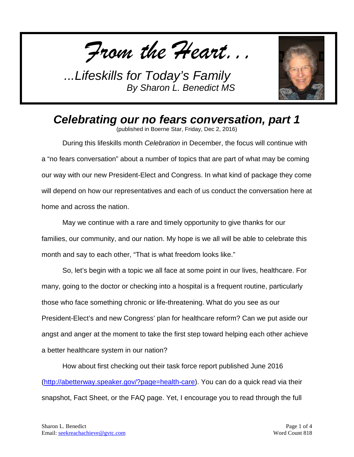*From the Heart...*



*Celebrating our no fears conversation, part 1*

(published in Boerne Star, Friday, Dec 2, 2016)

During this lifeskills month *Celebration* in December, the focus will continue with a "no fears conversation" about a number of topics that are part of what may be coming our way with our new President-Elect and Congress. In what kind of package they come will depend on how our representatives and each of us conduct the conversation here at home and across the nation.

May we continue with a rare and timely opportunity to give thanks for our families, our community, and our nation. My hope is we all will be able to celebrate this month and say to each other, "That is what freedom looks like."

So, let's begin with a topic we all face at some point in our lives, healthcare. For many, going to the doctor or checking into a hospital is a frequent routine, particularly those who face something chronic or life-threatening. What do you see as our President-Elect's and new Congress' plan for healthcare reform? Can we put aside our angst and anger at the moment to take the first step toward helping each other achieve a better healthcare system in our nation?

How about first checking out their task force report published June 2016 [\(http://abetterway.speaker.gov/?page=health-care\)](http://abetterway.speaker.gov/?page=health-care). You can do a quick read via their snapshot, Fact Sheet, or the FAQ page. Yet, I encourage you to read through the full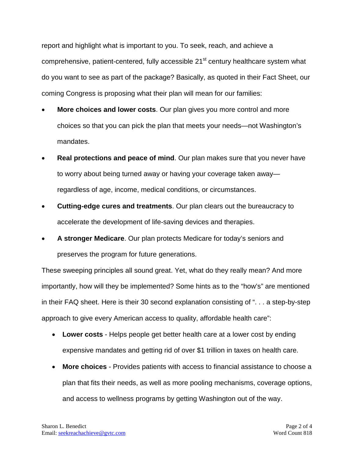report and highlight what is important to you. To seek, reach, and achieve a comprehensive, patient-centered, fully accessible 21<sup>st</sup> century healthcare system what do you want to see as part of the package? Basically, as quoted in their Fact Sheet, our coming Congress is proposing what their plan will mean for our families:

- **More choices and lower costs**. Our plan gives you more control and more choices so that you can pick the plan that meets your needs—not Washington's mandates.
- **Real protections and peace of mind**. Our plan makes sure that you never have to worry about being turned away or having your coverage taken away regardless of age, income, medical conditions, or circumstances.
- **Cutting-edge cures and treatments**. Our plan clears out the bureaucracy to accelerate the development of life-saving devices and therapies.
- **A stronger Medicare**. Our plan protects Medicare for today's seniors and preserves the program for future generations.

These sweeping principles all sound great. Yet, what do they really mean? And more importantly, how will they be implemented? Some hints as to the "how's" are mentioned in their FAQ sheet. Here is their 30 second explanation consisting of ". . . a step-by-step approach to give every American access to quality, affordable health care":

- **Lower costs** Helps people get better health care at a lower cost by ending expensive mandates and getting rid of over \$1 trillion in taxes on health care.
- **More choices** Provides patients with access to financial assistance to choose a plan that fits their needs, as well as more pooling mechanisms, coverage options, and access to wellness programs by getting Washington out of the way.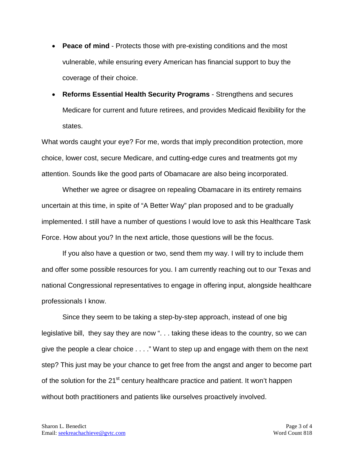- **Peace of mind** Protects those with pre-existing conditions and the most vulnerable, while ensuring every American has financial support to buy the coverage of their choice.
- **Reforms Essential Health Security Programs** Strengthens and secures Medicare for current and future retirees, and provides Medicaid flexibility for the states.

What words caught your eye? For me, words that imply precondition protection, more choice, lower cost, secure Medicare, and cutting-edge cures and treatments got my attention. Sounds like the good parts of Obamacare are also being incorporated.

Whether we agree or disagree on repealing Obamacare in its entirety remains uncertain at this time, in spite of "A Better Way" plan proposed and to be gradually implemented. I still have a number of questions I would love to ask this Healthcare Task Force. How about you? In the next article, those questions will be the focus.

If you also have a question or two, send them my way. I will try to include them and offer some possible resources for you. I am currently reaching out to our Texas and national Congressional representatives to engage in offering input, alongside healthcare professionals I know.

Since they seem to be taking a step-by-step approach, instead of one big legislative bill, they say they are now ". . . taking these ideas to the country, so we can give the people a clear choice . . . ." Want to step up and engage with them on the next step? This just may be your chance to get free from the angst and anger to become part of the solution for the 21<sup>st</sup> century healthcare practice and patient. It won't happen without both practitioners and patients like ourselves proactively involved.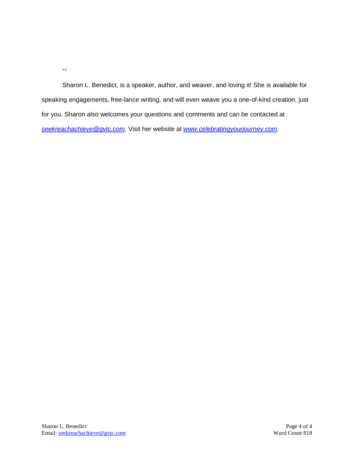--

Sharon L. Benedict, is a speaker, author, and weaver, and loving it! She is available for speaking engagements, free-lance writing, and will even weave you a one-of-kind creation, just for you. Sharon also welcomes your questions and comments and can be contacted at *[seekreachachieve@gvtc.com](mailto:seekreachachieve@gvtc.com)*. Visit her website at *[www.celebratingyourjourney.com](http://www.celebratingyourjourney.com/)*.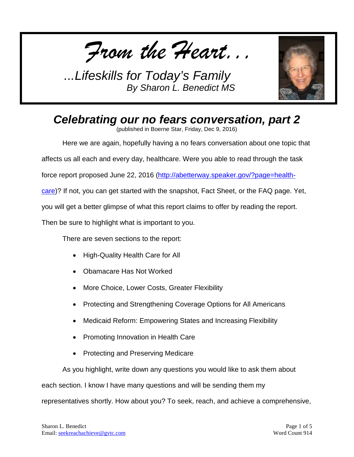*From the Heart...*



# *Celebrating our no fears conversation, part 2*

(published in Boerne Star, Friday, Dec 9, 2016)

Here we are again, hopefully having a no fears conversation about one topic that

affects us all each and every day, healthcare. Were you able to read through the task

force report proposed June 22, 2016 [\(http://abetterway.speaker.gov/?page=health-](http://abetterway.speaker.gov/?page=health-care)

[care\)](http://abetterway.speaker.gov/?page=health-care)? If not, you can get started with the snapshot, Fact Sheet, or the FAQ page. Yet,

you will get a better glimpse of what this report claims to offer by reading the report.

Then be sure to highlight what is important to you.

There are seven sections to the report:

- High-Quality Health Care for All
- Obamacare Has Not Worked
- More Choice, Lower Costs, Greater Flexibility
- Protecting and Strengthening Coverage Options for All Americans
- Medicaid Reform: Empowering States and Increasing Flexibility
- Promoting Innovation in Health Care
- Protecting and Preserving Medicare

As you highlight, write down any questions you would like to ask them about

each section. I know I have many questions and will be sending them my

representatives shortly. How about you? To seek, reach, and achieve a comprehensive,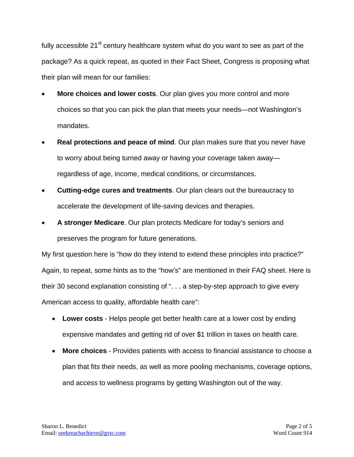fully accessible 21<sup>st</sup> century healthcare system what do you want to see as part of the package? As a quick repeat, as quoted in their Fact Sheet, Congress is proposing what their plan will mean for our families:

- **More choices and lower costs**. Our plan gives you more control and more choices so that you can pick the plan that meets your needs—not Washington's mandates.
- **Real protections and peace of mind**. Our plan makes sure that you never have to worry about being turned away or having your coverage taken away regardless of age, income, medical conditions, or circumstances.
- **Cutting-edge cures and treatments**. Our plan clears out the bureaucracy to accelerate the development of life-saving devices and therapies.
- **A stronger Medicare**. Our plan protects Medicare for today's seniors and preserves the program for future generations.

My first question here is "how do they intend to extend these principles into practice?" Again, to repeat, some hints as to the "how's" are mentioned in their FAQ sheet. Here is their 30 second explanation consisting of ". . . a step-by-step approach to give every American access to quality, affordable health care":

- **Lower costs** Helps people get better health care at a lower cost by ending expensive mandates and getting rid of over \$1 trillion in taxes on health care.
- **More choices** Provides patients with access to financial assistance to choose a plan that fits their needs, as well as more pooling mechanisms, coverage options, and access to wellness programs by getting Washington out of the way.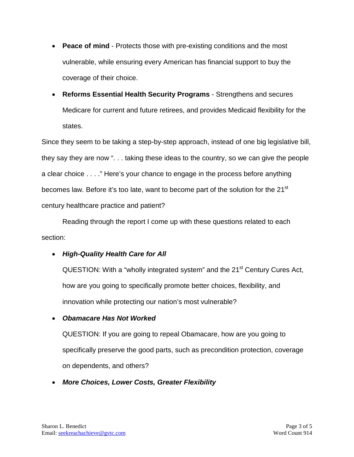- **Peace of mind** Protects those with pre-existing conditions and the most vulnerable, while ensuring every American has financial support to buy the coverage of their choice.
- **Reforms Essential Health Security Programs** Strengthens and secures Medicare for current and future retirees, and provides Medicaid flexibility for the states.

Since they seem to be taking a step-by-step approach, instead of one big legislative bill, they say they are now ". . . taking these ideas to the country, so we can give the people a clear choice . . . ." Here's your chance to engage in the process before anything becomes law. Before it's too late, want to become part of the solution for the 21<sup>st</sup> century healthcare practice and patient?

Reading through the report I come up with these questions related to each section:

## • *High-Quality Health Care for All*

QUESTION: With a "wholly integrated system" and the 21<sup>st</sup> Century Cures Act, how are you going to specifically promote better choices, flexibility, and innovation while protecting our nation's most vulnerable?

## • *Obamacare Has Not Worked*

QUESTION: If you are going to repeal Obamacare, how are you going to specifically preserve the good parts, such as precondition protection, coverage on dependents, and others?

• *More Choices, Lower Costs, Greater Flexibility*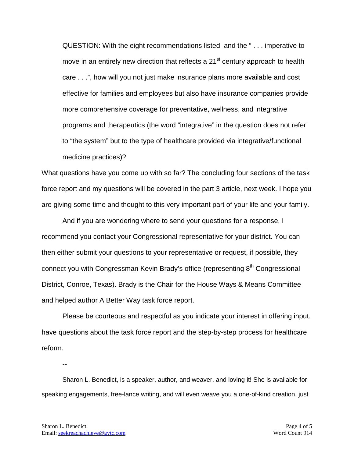QUESTION: With the eight recommendations listed and the " . . . imperative to move in an entirely new direction that reflects a 21<sup>st</sup> century approach to health care . . .", how will you not just make insurance plans more available and cost effective for families and employees but also have insurance companies provide more comprehensive coverage for preventative, wellness, and integrative programs and therapeutics (the word "integrative" in the question does not refer to "the system" but to the type of healthcare provided via integrative/functional medicine practices)?

What questions have you come up with so far? The concluding four sections of the task force report and my questions will be covered in the part 3 article, next week. I hope you are giving some time and thought to this very important part of your life and your family.

And if you are wondering where to send your questions for a response, I recommend you contact your Congressional representative for your district. You can then either submit your questions to your representative or request, if possible, they connect you with Congressman Kevin Brady's office (representing 8<sup>th</sup> Congressional District, Conroe, Texas). Brady is the Chair for the House Ways & Means Committee and helped author A Better Way task force report.

Please be courteous and respectful as you indicate your interest in offering input, have questions about the task force report and the step-by-step process for healthcare reform.

--

Sharon L. Benedict, is a speaker, author, and weaver, and loving it! She is available for speaking engagements, free-lance writing, and will even weave you a one-of-kind creation, just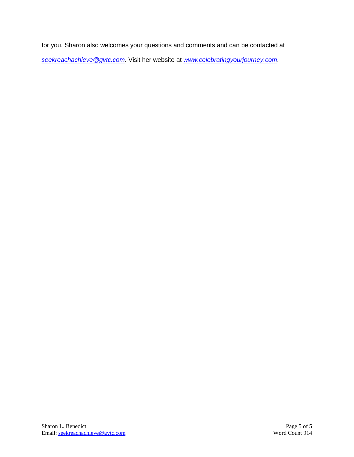for you. Sharon also welcomes your questions and comments and can be contacted at *[seekreachachieve@gvtc.com](mailto:seekreachachieve@gvtc.com)*. Visit her website at *[www.celebratingyourjourney.com](http://www.celebratingyourjourney.com/)*.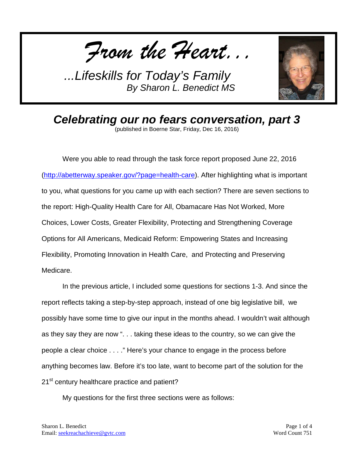*From the Heart...*



*Celebrating our no fears conversation, part 3* (published in Boerne Star, Friday, Dec 16, 2016)

Were you able to read through the task force report proposed June 22, 2016 [\(http://abetterway.speaker.gov/?page=health-care\)](http://abetterway.speaker.gov/?page=health-care). After highlighting what is important to you, what questions for you came up with each section? There are seven sections to the report: High-Quality Health Care for All, Obamacare Has Not Worked, More Choices, Lower Costs, Greater Flexibility, Protecting and Strengthening Coverage Options for All Americans, Medicaid Reform: Empowering States and Increasing Flexibility, Promoting Innovation in Health Care, and Protecting and Preserving Medicare.

In the previous article, I included some questions for sections 1-3. And since the report reflects taking a step-by-step approach, instead of one big legislative bill, we possibly have some time to give our input in the months ahead. I wouldn't wait although as they say they are now ". . . taking these ideas to the country, so we can give the people a clear choice . . . ." Here's your chance to engage in the process before anything becomes law. Before it's too late, want to become part of the solution for the 21<sup>st</sup> century healthcare practice and patient?

My questions for the first three sections were as follows: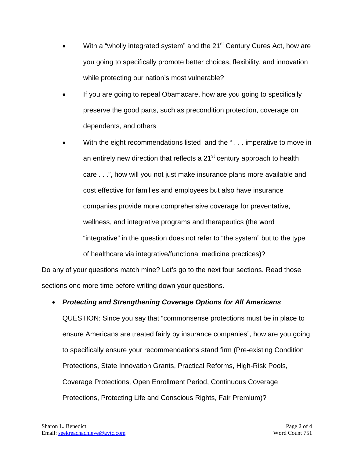- With a "wholly integrated system" and the 21<sup>st</sup> Century Cures Act, how are you going to specifically promote better choices, flexibility, and innovation while protecting our nation's most vulnerable?
- If you are going to repeal Obamacare, how are you going to specifically preserve the good parts, such as precondition protection, coverage on dependents, and others
- With the eight recommendations listed and the "... imperative to move in an entirely new direction that reflects a 21<sup>st</sup> century approach to health care . . .", how will you not just make insurance plans more available and cost effective for families and employees but also have insurance companies provide more comprehensive coverage for preventative, wellness, and integrative programs and therapeutics (the word "integrative" in the question does not refer to "the system" but to the type of healthcare via integrative/functional medicine practices)?

Do any of your questions match mine? Let's go to the next four sections. Read those sections one more time before writing down your questions.

## • *Protecting and Strengthening Coverage Options for All Americans*

QUESTION: Since you say that "commonsense protections must be in place to ensure Americans are treated fairly by insurance companies", how are you going to specifically ensure your recommendations stand firm (Pre-existing Condition Protections, State Innovation Grants, Practical Reforms, High-Risk Pools, Coverage Protections, Open Enrollment Period, Continuous Coverage Protections, Protecting Life and Conscious Rights, Fair Premium)?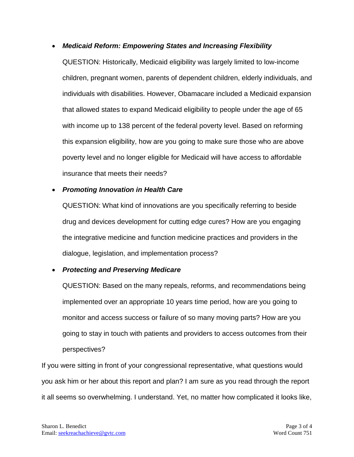#### • *Medicaid Reform: Empowering States and Increasing Flexibility*

QUESTION: Historically, Medicaid eligibility was largely limited to low-income children, pregnant women, parents of dependent children, elderly individuals, and individuals with disabilities. However, Obamacare included a Medicaid expansion that allowed states to expand Medicaid eligibility to people under the age of 65 with income up to 138 percent of the federal poverty level. Based on reforming this expansion eligibility, how are you going to make sure those who are above poverty level and no longer eligible for Medicaid will have access to affordable insurance that meets their needs?

#### • *Promoting Innovation in Health Care*

QUESTION: What kind of innovations are you specifically referring to beside drug and devices development for cutting edge cures? How are you engaging the integrative medicine and function medicine practices and providers in the dialogue, legislation, and implementation process?

#### • *Protecting and Preserving Medicare*

QUESTION: Based on the many repeals, reforms, and recommendations being implemented over an appropriate 10 years time period, how are you going to monitor and access success or failure of so many moving parts? How are you going to stay in touch with patients and providers to access outcomes from their perspectives?

If you were sitting in front of your congressional representative, what questions would you ask him or her about this report and plan? I am sure as you read through the report it all seems so overwhelming. I understand. Yet, no matter how complicated it looks like,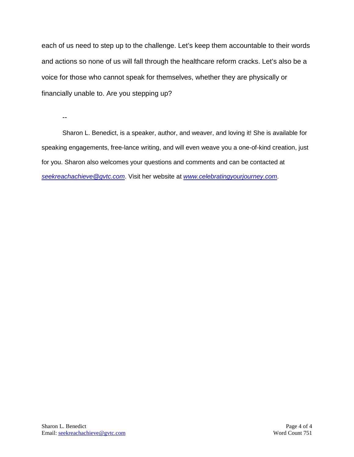each of us need to step up to the challenge. Let's keep them accountable to their words and actions so none of us will fall through the healthcare reform cracks. Let's also be a voice for those who cannot speak for themselves, whether they are physically or financially unable to. Are you stepping up?

--

Sharon L. Benedict, is a speaker, author, and weaver, and loving it! She is available for speaking engagements, free-lance writing, and will even weave you a one-of-kind creation, just for you. Sharon also welcomes your questions and comments and can be contacted at *[seekreachachieve@gvtc.com](mailto:seekreachachieve@gvtc.com)*. Visit her website at *[www.celebratingyourjourney.com](http://www.celebratingyourjourney.com/)*.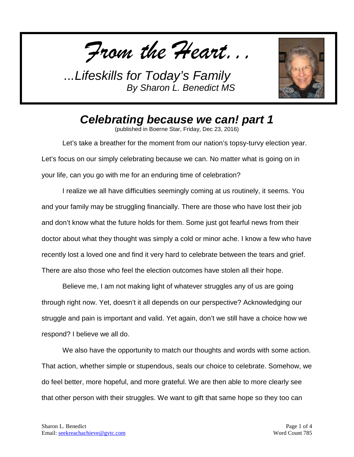*From the Heart...*



*Celebrating because we can! part 1*

(published in Boerne Star, Friday, Dec 23, 2016)

Let's take a breather for the moment from our nation's topsy-turvy election year. Let's focus on our simply celebrating because we can. No matter what is going on in your life, can you go with me for an enduring time of celebration?

I realize we all have difficulties seemingly coming at us routinely, it seems. You and your family may be struggling financially. There are those who have lost their job and don't know what the future holds for them. Some just got fearful news from their doctor about what they thought was simply a cold or minor ache. I know a few who have recently lost a loved one and find it very hard to celebrate between the tears and grief. There are also those who feel the election outcomes have stolen all their hope.

Believe me, I am not making light of whatever struggles any of us are going through right now. Yet, doesn't it all depends on our perspective? Acknowledging our struggle and pain is important and valid. Yet again, don't we still have a choice how we respond? I believe we all do.

We also have the opportunity to match our thoughts and words with some action. That action, whether simple or stupendous, seals our choice to celebrate. Somehow, we do feel better, more hopeful, and more grateful. We are then able to more clearly see that other person with their struggles. We want to gift that same hope so they too can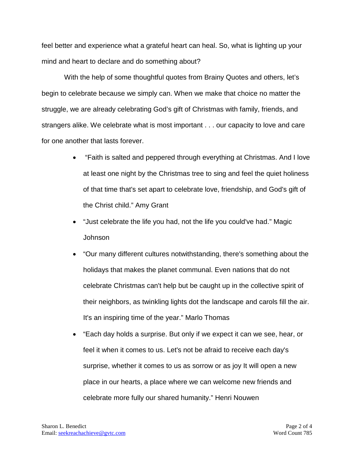feel better and experience what a grateful heart can heal. So, what is lighting up your mind and heart to declare and do something about?

With the help of some thoughtful quotes from Brainy Quotes and others, let's begin to celebrate because we simply can. When we make that choice no matter the struggle, we are already celebrating God's gift of Christmas with family, friends, and strangers alike. We celebrate what is most important . . . our capacity to love and care for one another that lasts forever.

- "Faith is salted and peppered through everything at Christmas. And I love at least one night by the Christmas tree to sing and feel the quiet holiness of that time that's set apart to celebrate love, friendship, and God's gift of the Christ child." Amy Grant
- "Just celebrate the life you had, not the life you could've had." Magic Johnson
- "Our many different cultures notwithstanding, there's something about the holidays that makes the planet communal. Even nations that do not celebrate Christmas can't help but be caught up in the collective spirit of their neighbors, as twinkling lights dot the landscape and carols fill the air. It's an inspiring time of the year." Marlo Thomas
- "Each day holds a surprise. But only if we expect it can we see, hear, or feel it when it comes to us. Let's not be afraid to receive each day's surprise, whether it comes to us as sorrow or as joy It will open a new place in our hearts, a place where we can welcome new friends and celebrate more fully our shared humanity." Henri Nouwen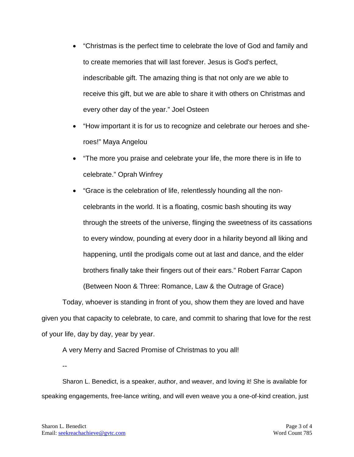- "Christmas is the perfect time to celebrate the love of God and family and to create memories that will last forever. Jesus is God's perfect, indescribable gift. The amazing thing is that not only are we able to receive this gift, but we are able to share it with others on Christmas and every other day of the year." Joel Osteen
- "How important it is for us to recognize and celebrate our heroes and sheroes!" Maya Angelou
- "The more you praise and celebrate your life, the more there is in life to celebrate." Oprah Winfrey
- "Grace is the celebration of life, relentlessly hounding all the noncelebrants in the world. It is a floating, cosmic bash shouting its way through the streets of the universe, flinging the sweetness of its cassations to every window, pounding at every door in a hilarity beyond all liking and happening, until the prodigals come out at last and dance, and the elder brothers finally take their fingers out of their ears." Robert Farrar Capon (Between Noon & Three: Romance, Law & the Outrage of Grace)

Today, whoever is standing in front of you, show them they are loved and have given you that capacity to celebrate, to care, and commit to sharing that love for the rest of your life, day by day, year by year.

A very Merry and Sacred Promise of Christmas to you all!

--

Sharon L. Benedict, is a speaker, author, and weaver, and loving it! She is available for speaking engagements, free-lance writing, and will even weave you a one-of-kind creation, just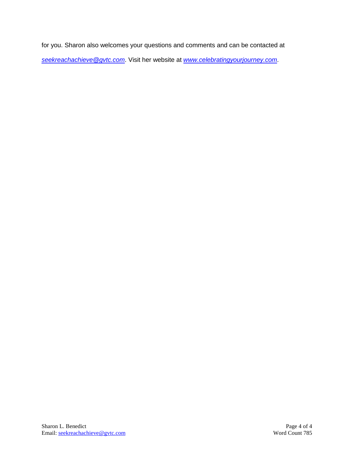for you. Sharon also welcomes your questions and comments and can be contacted at *[seekreachachieve@gvtc.com](mailto:seekreachachieve@gvtc.com)*. Visit her website at *[www.celebratingyourjourney.com](http://www.celebratingyourjourney.com/)*.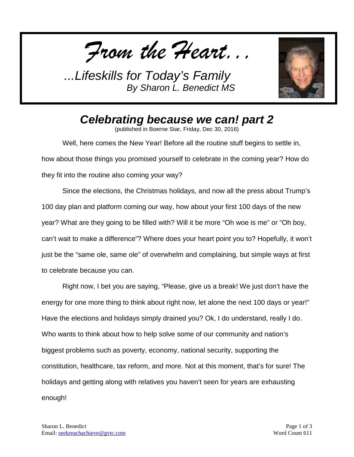*From the Heart...*



*Celebrating because we can! part 2*

(published in Boerne Star, Friday, Dec 30, 2016)

Well, here comes the New Year! Before all the routine stuff begins to settle in, how about those things you promised yourself to celebrate in the coming year? How do they fit into the routine also coming your way?

Since the elections, the Christmas holidays, and now all the press about Trump's 100 day plan and platform coming our way, how about your first 100 days of the new year? What are they going to be filled with? Will it be more "Oh woe is me" or "Oh boy, can't wait to make a difference"? Where does your heart point you to? Hopefully, it won't just be the "same ole, same ole" of overwhelm and complaining, but simple ways at first to celebrate because you can.

Right now, I bet you are saying, "Please, give us a break! We just don't have the energy for one more thing to think about right now, let alone the next 100 days or year!" Have the elections and holidays simply drained you? Ok, I do understand, really I do. Who wants to think about how to help solve some of our community and nation's biggest problems such as poverty, economy, national security, supporting the constitution, healthcare, tax reform, and more. Not at this moment, that's for sure! The holidays and getting along with relatives you haven't seen for years are exhausting enough!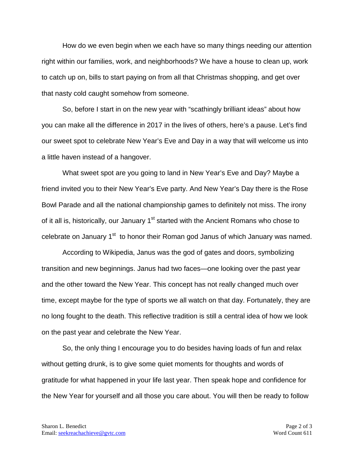How do we even begin when we each have so many things needing our attention right within our families, work, and neighborhoods? We have a house to clean up, work to catch up on, bills to start paying on from all that Christmas shopping, and get over that nasty cold caught somehow from someone.

So, before I start in on the new year with "scathingly brilliant ideas" about how you can make all the difference in 2017 in the lives of others, here's a pause. Let's find our sweet spot to celebrate New Year's Eve and Day in a way that will welcome us into a little haven instead of a hangover.

What sweet spot are you going to land in New Year's Eve and Day? Maybe a friend invited you to their New Year's Eve party. And New Year's Day there is the Rose Bowl Parade and all the national championship games to definitely not miss. The irony of it all is, historically, our January 1<sup>st</sup> started with the Ancient Romans who chose to celebrate on January 1<sup>st</sup> to honor their Roman god Janus of which January was named.

According to Wikipedia, Janus was the god of gates and doors, symbolizing transition and new beginnings. Janus had two faces—one looking over the past year and the other toward the New Year. This concept has not really changed much over time, except maybe for the type of sports we all watch on that day. Fortunately, they are no long fought to the death. This reflective tradition is still a central idea of how we look on the past year and celebrate the New Year.

So, the only thing I encourage you to do besides having loads of fun and relax without getting drunk, is to give some quiet moments for thoughts and words of gratitude for what happened in your life last year. Then speak hope and confidence for the New Year for yourself and all those you care about. You will then be ready to follow